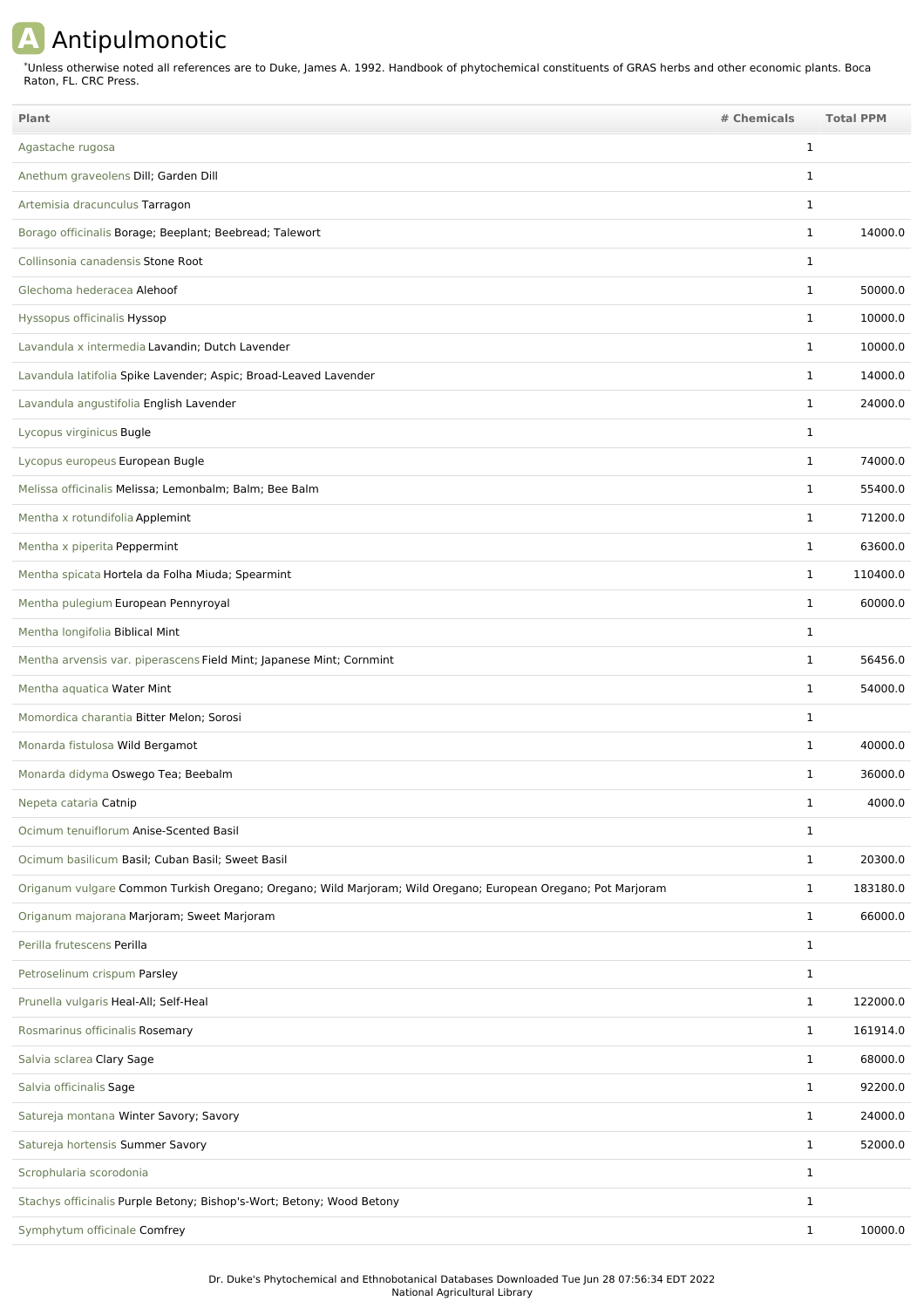## **A** Antipulmonotic

Unless otherwise noted all references are to Duke, James A. 1992. Handbook of phytochemical constituents of GRAS herbs and other economic plants. Boca Raton, FL. CRC Press. \*

| Plant                                                                                                         | # Chemicals  | <b>Total PPM</b> |
|---------------------------------------------------------------------------------------------------------------|--------------|------------------|
| Agastache rugosa                                                                                              | 1            |                  |
| Anethum graveolens Dill; Garden Dill                                                                          | $\mathbf{1}$ |                  |
| Artemisia dracunculus Tarragon                                                                                | 1            |                  |
| Borago officinalis Borage; Beeplant; Beebread; Talewort                                                       | $\mathbf{1}$ | 14000.0          |
| Collinsonia canadensis Stone Root                                                                             | 1            |                  |
| Glechoma hederacea Alehoof                                                                                    | 1            | 50000.0          |
| Hyssopus officinalis Hyssop                                                                                   | $\mathbf{1}$ | 10000.0          |
| Lavandula x intermedia Lavandin; Dutch Lavender                                                               | $\mathbf{1}$ | 10000.0          |
| Lavandula latifolia Spike Lavender; Aspic; Broad-Leaved Lavender                                              | $\mathbf{1}$ | 14000.0          |
| Lavandula angustifolia English Lavender                                                                       | $\mathbf{1}$ | 24000.0          |
| Lycopus virginicus Bugle                                                                                      | 1            |                  |
| Lycopus europeus European Bugle                                                                               | $\mathbf{1}$ | 74000.0          |
| Melissa officinalis Melissa; Lemonbalm; Balm; Bee Balm                                                        | $\mathbf{1}$ | 55400.0          |
| Mentha x rotundifolia Applemint                                                                               | $\mathbf{1}$ | 71200.0          |
| Mentha x piperita Peppermint                                                                                  | $\mathbf{1}$ | 63600.0          |
| Mentha spicata Hortela da Folha Miuda; Spearmint                                                              | $\mathbf{1}$ | 110400.0         |
| Mentha pulegium European Pennyroyal                                                                           | $\mathbf{1}$ | 60000.0          |
| Mentha longifolia Biblical Mint                                                                               | 1            |                  |
| Mentha arvensis var. piperascens Field Mint; Japanese Mint; Cornmint                                          | $\mathbf{1}$ | 56456.0          |
| Mentha aquatica Water Mint                                                                                    | $\mathbf{1}$ | 54000.0          |
| Momordica charantia Bitter Melon; Sorosi                                                                      | $\mathbf{1}$ |                  |
| Monarda fistulosa Wild Bergamot                                                                               | $\mathbf{1}$ | 40000.0          |
| Monarda didyma Oswego Tea; Beebalm                                                                            | 1            | 36000.0          |
| Nepeta cataria Catnip                                                                                         | 1            | 4000.0           |
| Ocimum tenuiflorum Anise-Scented Basil                                                                        | $\mathbf{1}$ |                  |
| Ocimum basilicum Basil; Cuban Basil; Sweet Basil                                                              | $\mathbf{1}$ | 20300.0          |
| Origanum vulgare Common Turkish Oregano; Oregano; Wild Marjoram; Wild Oregano; European Oregano; Pot Marjoram | $\mathbf{1}$ | 183180.0         |
| Origanum majorana Marjoram; Sweet Marjoram                                                                    | $\mathbf{1}$ | 66000.0          |
| Perilla frutescens Perilla                                                                                    | $\mathbf{1}$ |                  |
| Petroselinum crispum Parsley                                                                                  | $\mathbf{1}$ |                  |
| Prunella vulgaris Heal-All; Self-Heal                                                                         | $\mathbf{1}$ | 122000.0         |
| Rosmarinus officinalis Rosemary                                                                               | $\mathbf{1}$ | 161914.0         |
| Salvia sclarea Clary Sage                                                                                     | $\mathbf{1}$ | 68000.0          |
| Salvia officinalis Sage                                                                                       | $\mathbf{1}$ | 92200.0          |
| Satureja montana Winter Savory; Savory                                                                        | $\mathbf{1}$ | 24000.0          |
| Satureja hortensis Summer Savory                                                                              | $\mathbf{1}$ | 52000.0          |
| Scrophularia scorodonia                                                                                       | $\mathbf{1}$ |                  |
| Stachys officinalis Purple Betony; Bishop's-Wort; Betony; Wood Betony                                         | $\mathbf{1}$ |                  |
| Symphytum officinale Comfrey                                                                                  | $\mathbf{1}$ | 10000.0          |